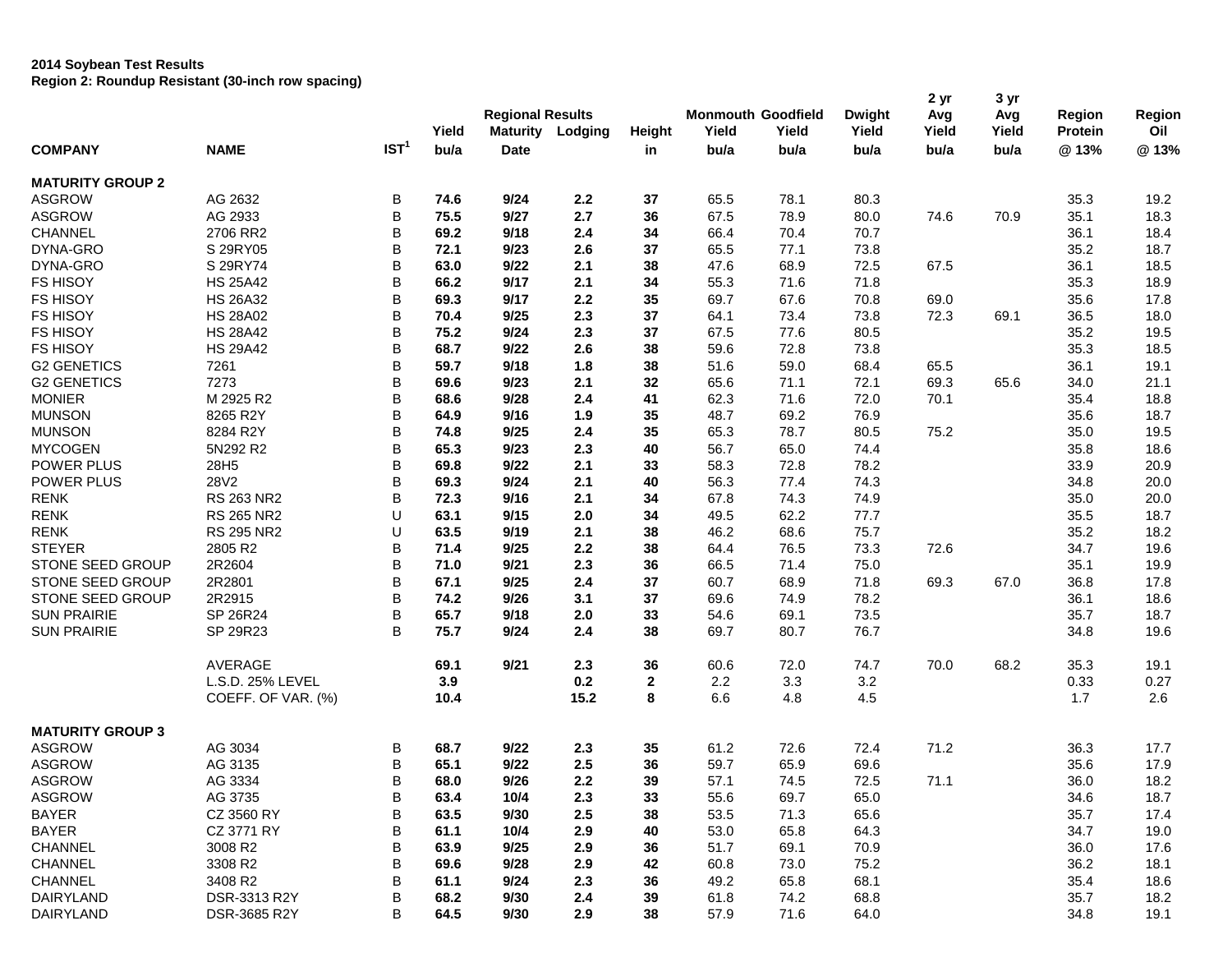## **2014 Soybean Test Results Region 2: Roundup Resistant (30-inch row spacing)**

| <b>COMPANY</b>          | <b>NAME</b>        | IST <sup>1</sup> | Yield<br>bu/a | <b>Regional Results</b><br><b>Maturity</b><br><b>Date</b> | Lodging | Height<br>in | <b>Monmouth Goodfield</b><br>Yield<br>bu/a | Yield<br>bu/a | <b>Dwight</b><br>Yield<br>bu/a | 2 yr<br>Avg<br>Yield<br>bu/a | 3 yr<br>Avg<br>Yield<br>bu/a | Region<br>Protein<br>@13% | Region<br>Oil<br>@13% |
|-------------------------|--------------------|------------------|---------------|-----------------------------------------------------------|---------|--------------|--------------------------------------------|---------------|--------------------------------|------------------------------|------------------------------|---------------------------|-----------------------|
| <b>MATURITY GROUP 2</b> |                    |                  |               |                                                           |         |              |                                            |               |                                |                              |                              |                           |                       |
| <b>ASGROW</b>           | AG 2632            | В                | 74.6          | 9/24                                                      | 2.2     | 37           | 65.5                                       | 78.1          | 80.3                           |                              |                              | 35.3                      | 19.2                  |
| <b>ASGROW</b>           | AG 2933            | B                | 75.5          | 9/27                                                      | 2.7     | 36           | 67.5                                       | 78.9          | 80.0                           | 74.6                         | 70.9                         | 35.1                      | 18.3                  |
| CHANNEL                 | 2706 RR2           | B                | 69.2          | 9/18                                                      | 2.4     | 34           | 66.4                                       | 70.4          | 70.7                           |                              |                              | 36.1                      | 18.4                  |
| DYNA-GRO                | S 29RY05           | B                | 72.1          | 9/23                                                      | 2.6     | 37           | 65.5                                       | 77.1          | 73.8                           |                              |                              | 35.2                      | 18.7                  |
| DYNA-GRO                | S 29RY74           | B                | 63.0          | 9/22                                                      | 2.1     | 38           | 47.6                                       | 68.9          | 72.5                           | 67.5                         |                              | 36.1                      | 18.5                  |
| <b>FS HISOY</b>         | <b>HS 25A42</b>    | B                | 66.2          | 9/17                                                      | 2.1     | 34           | 55.3                                       | 71.6          | 71.8                           |                              |                              | 35.3                      | 18.9                  |
| <b>FS HISOY</b>         | <b>HS 26A32</b>    | B                | 69.3          | 9/17                                                      | 2.2     | 35           | 69.7                                       | 67.6          | 70.8                           | 69.0                         |                              | 35.6                      | 17.8                  |
| <b>FS HISOY</b>         | <b>HS 28A02</b>    | B                | 70.4          | 9/25                                                      | 2.3     | 37           | 64.1                                       | 73.4          | 73.8                           | 72.3                         | 69.1                         | 36.5                      | 18.0                  |
| <b>FS HISOY</b>         | <b>HS 28A42</b>    | B                | 75.2          | 9/24                                                      | 2.3     | 37           | 67.5                                       | 77.6          | 80.5                           |                              |                              | 35.2                      | 19.5                  |
| <b>FS HISOY</b>         | <b>HS 29A42</b>    | B                | 68.7          | 9/22                                                      | 2.6     | 38           | 59.6                                       | 72.8          | 73.8                           |                              |                              | 35.3                      | 18.5                  |
| <b>G2 GENETICS</b>      | 7261               | B                | 59.7          | 9/18                                                      | 1.8     | 38           | 51.6                                       | 59.0          | 68.4                           | 65.5                         |                              | 36.1                      | 19.1                  |
| <b>G2 GENETICS</b>      | 7273               | B                | 69.6          | 9/23                                                      | 2.1     | 32           | 65.6                                       | 71.1          | 72.1                           | 69.3                         | 65.6                         | 34.0                      | 21.1                  |
| <b>MONIER</b>           | M 2925 R2          | B                | 68.6          | 9/28                                                      | 2.4     | 41           | 62.3                                       | 71.6          | 72.0                           | 70.1                         |                              | 35.4                      | 18.8                  |
| <b>MUNSON</b>           | 8265 R2Y           | B                | 64.9          | 9/16                                                      | 1.9     | 35           | 48.7                                       | 69.2          | 76.9                           |                              |                              | 35.6                      | 18.7                  |
| <b>MUNSON</b>           | 8284 R2Y           | B                | 74.8          | 9/25                                                      | 2.4     | 35           | 65.3                                       | 78.7          | 80.5                           | 75.2                         |                              | 35.0                      | 19.5                  |
| <b>MYCOGEN</b>          | 5N292 R2           | B                | 65.3          | 9/23                                                      | 2.3     | 40           | 56.7                                       | 65.0          | 74.4                           |                              |                              | 35.8                      | 18.6                  |
| <b>POWER PLUS</b>       | 28H5               | B                | 69.8          | 9/22                                                      | 2.1     | 33           | 58.3                                       | 72.8          | 78.2                           |                              |                              | 33.9                      | 20.9                  |
| POWER PLUS              | 28V2               | B                | 69.3          | 9/24                                                      | 2.1     | 40           | 56.3                                       | 77.4          | 74.3                           |                              |                              | 34.8                      | 20.0                  |
| <b>RENK</b>             | RS 263 NR2         | B                | 72.3          | 9/16                                                      | 2.1     | 34           | 67.8                                       | 74.3          | 74.9                           |                              |                              | 35.0                      | 20.0                  |
| <b>RENK</b>             | <b>RS 265 NR2</b>  | U                | 63.1          | 9/15                                                      | 2.0     | 34           | 49.5                                       | 62.2          | 77.7                           |                              |                              | 35.5                      | 18.7                  |
| <b>RENK</b>             | <b>RS 295 NR2</b>  | U                | 63.5          | 9/19                                                      | 2.1     | 38           | 46.2                                       | 68.6          | 75.7                           |                              |                              | 35.2                      | 18.2                  |
| <b>STEYER</b>           | 2805 R2            | B                | 71.4          | 9/25                                                      | 2.2     | 38           | 64.4                                       | 76.5          | 73.3                           | 72.6                         |                              | 34.7                      | 19.6                  |
| STONE SEED GROUP        | 2R2604             | B                | 71.0          | 9/21                                                      | 2.3     | 36           | 66.5                                       | 71.4          | 75.0                           |                              |                              | 35.1                      | 19.9                  |
| STONE SEED GROUP        | 2R2801             | B                | 67.1          | 9/25                                                      | 2.4     | 37           | 60.7                                       | 68.9          | 71.8                           | 69.3                         | 67.0                         | 36.8                      | 17.8                  |
| STONE SEED GROUP        | 2R2915             | B                | 74.2          | 9/26                                                      | 3.1     | 37           | 69.6                                       | 74.9          | 78.2                           |                              |                              | 36.1                      | 18.6                  |
| <b>SUN PRAIRIE</b>      | SP 26R24           | B                | 65.7          | 9/18                                                      | 2.0     | 33           | 54.6                                       | 69.1          | 73.5                           |                              |                              | 35.7                      | 18.7                  |
| <b>SUN PRAIRIE</b>      | SP 29R23           | B                | 75.7          | 9/24                                                      | 2.4     | 38           | 69.7                                       | 80.7          | 76.7                           |                              |                              | 34.8                      | 19.6                  |
|                         |                    |                  |               |                                                           |         |              |                                            |               |                                |                              |                              |                           |                       |
|                         | AVERAGE            |                  | 69.1          | 9/21                                                      | 2.3     | 36           | 60.6                                       | 72.0          | 74.7                           | 70.0                         | 68.2                         | 35.3                      | 19.1                  |
|                         | L.S.D. 25% LEVEL   |                  | 3.9           |                                                           | 0.2     | $\mathbf{2}$ | 2.2                                        | 3.3           | 3.2                            |                              |                              | 0.33                      | 0.27                  |
|                         | COEFF. OF VAR. (%) |                  | 10.4          |                                                           | 15.2    | 8            | 6.6                                        | 4.8           | 4.5                            |                              |                              | 1.7                       | 2.6                   |
| <b>MATURITY GROUP 3</b> |                    |                  |               |                                                           |         |              |                                            |               |                                |                              |                              |                           |                       |
| <b>ASGROW</b>           | AG 3034            | В                | 68.7          | 9/22                                                      | 2.3     | 35           | 61.2                                       | 72.6          | 72.4                           | 71.2                         |                              | 36.3                      | 17.7                  |
| <b>ASGROW</b>           | AG 3135            | B                | 65.1          | 9/22                                                      | 2.5     | 36           | 59.7                                       | 65.9          | 69.6                           |                              |                              | 35.6                      | 17.9                  |
| <b>ASGROW</b>           | AG 3334            | B                | 68.0          | 9/26                                                      | 2.2     | 39           | 57.1                                       | 74.5          | 72.5                           | 71.1                         |                              | 36.0                      | 18.2                  |
| <b>ASGROW</b>           | AG 3735            | В                | 63.4          | 10/4                                                      | 2.3     | 33           | 55.6                                       | 69.7          | 65.0                           |                              |                              | 34.6                      | 18.7                  |
| <b>BAYER</b>            | CZ 3560 RY         | B                | 63.5          | 9/30                                                      | 2.5     | 38           | 53.5                                       | 71.3          | 65.6                           |                              |                              | 35.7                      | 17.4                  |
| <b>BAYER</b>            | CZ 3771 RY         | В                | 61.1          | 10/4                                                      | 2.9     | 40           | 53.0                                       | 65.8          | 64.3                           |                              |                              | 34.7                      | 19.0                  |
| CHANNEL                 | 3008 R2            | В                | 63.9          | 9/25                                                      | 2.9     | 36           | 51.7                                       | 69.1          | 70.9                           |                              |                              | 36.0                      | 17.6                  |
| CHANNEL                 | 3308 R2            | В                | 69.6          | 9/28                                                      | 2.9     | 42           | 60.8                                       | 73.0          | 75.2                           |                              |                              | 36.2                      | 18.1                  |
| CHANNEL                 | 3408 R2            | B                | 61.1          | 9/24                                                      | 2.3     | 36           | 49.2                                       | 65.8          | 68.1                           |                              |                              | 35.4                      | 18.6                  |
| DAIRYLAND               | DSR-3313 R2Y       | B                | 68.2          | 9/30                                                      | 2.4     | 39           | 61.8                                       | 74.2          | 68.8                           |                              |                              | 35.7                      | 18.2                  |
| <b>DAIRYLAND</b>        | DSR-3685 R2Y       | В                | 64.5          | 9/30                                                      | 2.9     | 38           | 57.9                                       | 71.6          | 64.0                           |                              |                              | 34.8                      | 19.1                  |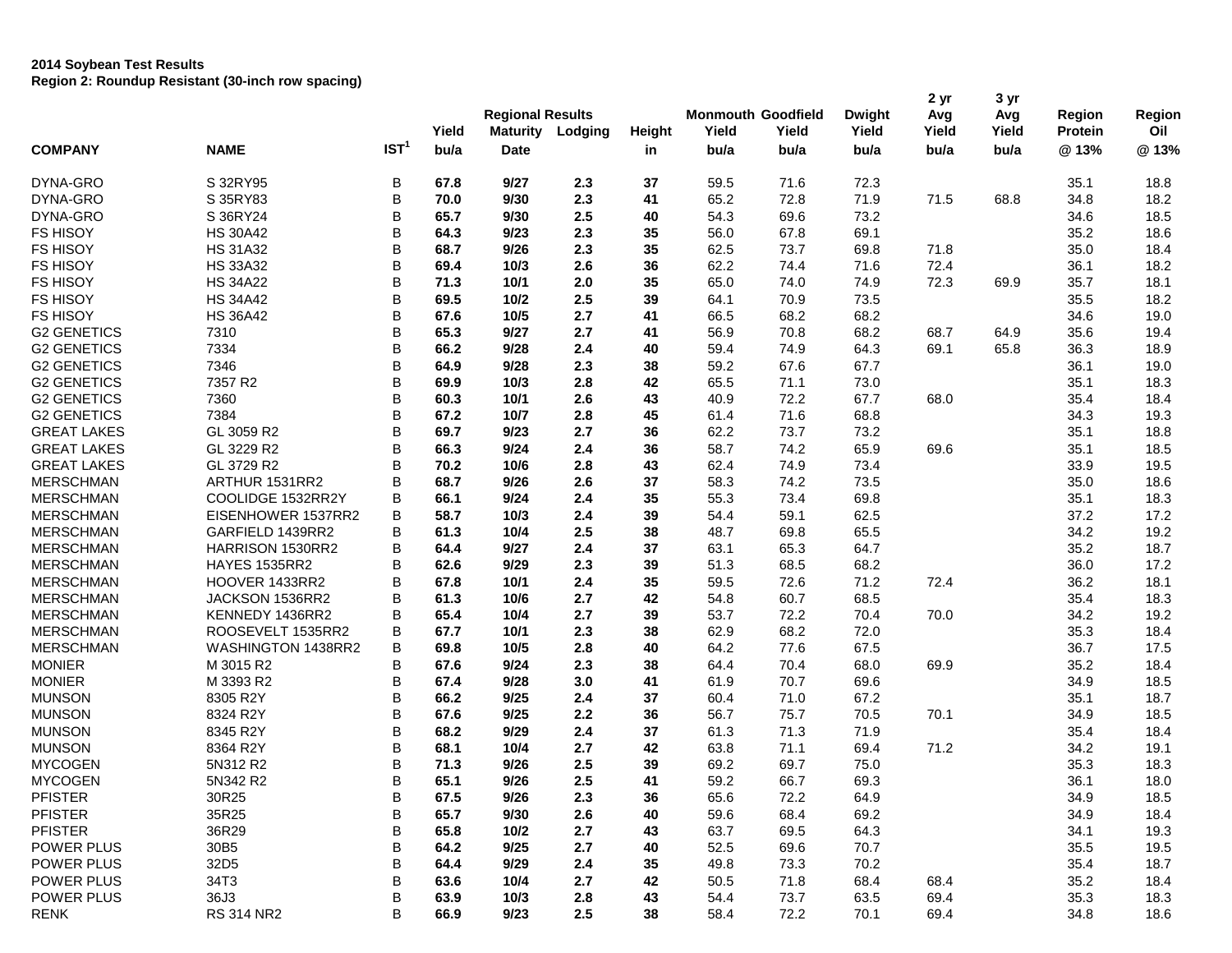## **2014 Soybean Test Results Region 2: Roundup Resistant (30-inch row spacing)**

| <b>COMPANY</b>     | <b>NAME</b>          | IST <sup>1</sup> | Yield<br>bu/a | <b>Regional Results</b><br><b>Maturity</b><br><b>Date</b> | Lodging | Height<br>in | Yield<br>bu/a | <b>Monmouth Goodfield</b><br>Yield<br>bu/a | <b>Dwight</b><br>Yield<br>bu/a | 2 yr<br>Avg<br>Yield<br>bu/a | 3 yr<br>Avg<br>Yield<br>bu/a | Region<br>Protein<br>@13% | Region<br>Oil<br>@13% |
|--------------------|----------------------|------------------|---------------|-----------------------------------------------------------|---------|--------------|---------------|--------------------------------------------|--------------------------------|------------------------------|------------------------------|---------------------------|-----------------------|
| DYNA-GRO           | S 32RY95             | В                | 67.8          | 9/27                                                      | 2.3     | 37           | 59.5          | 71.6                                       | 72.3                           |                              |                              | 35.1                      | 18.8                  |
| DYNA-GRO           | S 35RY83             | B                | 70.0          | 9/30                                                      | 2.3     | 41           | 65.2          | 72.8                                       | 71.9                           | 71.5                         | 68.8                         | 34.8                      | 18.2                  |
| DYNA-GRO           | S 36RY24             | B                | 65.7          | 9/30                                                      | 2.5     | 40           | 54.3          | 69.6                                       | 73.2                           |                              |                              | 34.6                      | 18.5                  |
| <b>FS HISOY</b>    | <b>HS 30A42</b>      | B                | 64.3          | 9/23                                                      | 2.3     | 35           | 56.0          | 67.8                                       | 69.1                           |                              |                              | 35.2                      | 18.6                  |
| <b>FS HISOY</b>    | <b>HS 31A32</b>      | B                | 68.7          | 9/26                                                      | 2.3     | 35           | 62.5          | 73.7                                       | 69.8                           | 71.8                         |                              | 35.0                      | 18.4                  |
| <b>FS HISOY</b>    | <b>HS 33A32</b>      | B                | 69.4          | 10/3                                                      | 2.6     | 36           | 62.2          | 74.4                                       | 71.6                           | 72.4                         |                              | 36.1                      | 18.2                  |
| FS HISOY           | <b>HS 34A22</b>      | B                | 71.3          | 10/1                                                      | 2.0     | 35           | 65.0          | 74.0                                       | 74.9                           | 72.3                         | 69.9                         | 35.7                      | 18.1                  |
| FS HISOY           | <b>HS 34A42</b>      | B                | 69.5          | 10/2                                                      | 2.5     | 39           | 64.1          | 70.9                                       | 73.5                           |                              |                              | 35.5                      | 18.2                  |
| <b>FS HISOY</b>    | <b>HS 36A42</b>      | B                | 67.6          | 10/5                                                      | 2.7     | 41           | 66.5          | 68.2                                       | 68.2                           |                              |                              | 34.6                      | 19.0                  |
| <b>G2 GENETICS</b> | 7310                 | B                | 65.3          | 9/27                                                      | 2.7     | 41           | 56.9          | 70.8                                       | 68.2                           | 68.7                         | 64.9                         | 35.6                      | 19.4                  |
| <b>G2 GENETICS</b> | 7334                 | B                | 66.2          | 9/28                                                      | 2.4     | 40           | 59.4          | 74.9                                       | 64.3                           | 69.1                         | 65.8                         | 36.3                      | 18.9                  |
| <b>G2 GENETICS</b> | 7346                 | B                | 64.9          | 9/28                                                      | 2.3     | 38           | 59.2          | 67.6                                       | 67.7                           |                              |                              | 36.1                      | 19.0                  |
| <b>G2 GENETICS</b> | 7357 R2              | B                | 69.9          | 10/3                                                      | 2.8     | 42           | 65.5          | 71.1                                       | 73.0                           |                              |                              | 35.1                      | 18.3                  |
| <b>G2 GENETICS</b> | 7360                 | B                | 60.3          | 10/1                                                      | 2.6     | 43           | 40.9          | 72.2                                       | 67.7                           | 68.0                         |                              | 35.4                      | 18.4                  |
| <b>G2 GENETICS</b> | 7384                 | B                | 67.2          | 10/7                                                      | 2.8     | 45           | 61.4          | 71.6                                       | 68.8                           |                              |                              | 34.3                      | 19.3                  |
| <b>GREAT LAKES</b> | GL 3059 R2           | B                | 69.7          | 9/23                                                      | 2.7     | 36           | 62.2          | 73.7                                       | 73.2                           |                              |                              | 35.1                      | 18.8                  |
| <b>GREAT LAKES</b> | GL 3229 R2           | B                | 66.3          | 9/24                                                      | 2.4     | 36           | 58.7          | 74.2                                       | 65.9                           | 69.6                         |                              | 35.1                      | 18.5                  |
| <b>GREAT LAKES</b> | GL 3729 R2           | B                | 70.2          | 10/6                                                      | 2.8     | 43           | 62.4          | 74.9                                       | 73.4                           |                              |                              | 33.9                      | 19.5                  |
| <b>MERSCHMAN</b>   | ARTHUR 1531RR2       | B                | 68.7          | 9/26                                                      | 2.6     | 37           | 58.3          | 74.2                                       | 73.5                           |                              |                              | 35.0                      | 18.6                  |
| <b>MERSCHMAN</b>   | COOLIDGE 1532RR2Y    | B                | 66.1          | 9/24                                                      | 2.4     | 35           | 55.3          | 73.4                                       | 69.8                           |                              |                              | 35.1                      | 18.3                  |
| <b>MERSCHMAN</b>   | EISENHOWER 1537RR2   | B                | 58.7          | 10/3                                                      | 2.4     | 39           | 54.4          | 59.1                                       | 62.5                           |                              |                              | 37.2                      | 17.2                  |
| <b>MERSCHMAN</b>   | GARFIELD 1439RR2     | B                | 61.3          | 10/4                                                      | 2.5     | 38           | 48.7          | 69.8                                       | 65.5                           |                              |                              | 34.2                      | 19.2                  |
| <b>MERSCHMAN</b>   | HARRISON 1530RR2     | B                | 64.4          | 9/27                                                      | 2.4     | 37           | 63.1          | 65.3                                       | 64.7                           |                              |                              | 35.2                      | 18.7                  |
| <b>MERSCHMAN</b>   | <b>HAYES 1535RR2</b> | B                | 62.6          | 9/29                                                      | 2.3     | 39           | 51.3          | 68.5                                       | 68.2                           |                              |                              | 36.0                      | 17.2                  |
| <b>MERSCHMAN</b>   | HOOVER 1433RR2       | B                | 67.8          | 10/1                                                      | 2.4     | 35           | 59.5          | 72.6                                       | 71.2                           | 72.4                         |                              | 36.2                      | 18.1                  |
| <b>MERSCHMAN</b>   | JACKSON 1536RR2      | B                | 61.3          | 10/6                                                      | 2.7     | 42           | 54.8          | 60.7                                       | 68.5                           |                              |                              | 35.4                      | 18.3                  |
| <b>MERSCHMAN</b>   | KENNEDY 1436RR2      | В                | 65.4          | 10/4                                                      | 2.7     | 39           | 53.7          | 72.2                                       | 70.4                           | 70.0                         |                              | 34.2                      | 19.2                  |
| <b>MERSCHMAN</b>   | ROOSEVELT 1535RR2    | В                | 67.7          | 10/1                                                      | 2.3     | 38           | 62.9          | 68.2                                       | 72.0                           |                              |                              | 35.3                      | 18.4                  |
| <b>MERSCHMAN</b>   | WASHINGTON 1438RR2   | B                | 69.8          | 10/5                                                      | 2.8     | 40           | 64.2          | 77.6                                       | 67.5                           |                              |                              | 36.7                      | 17.5                  |
| <b>MONIER</b>      | M 3015 R2            | B                | 67.6          | 9/24                                                      | 2.3     | 38           | 64.4          | 70.4                                       | 68.0                           | 69.9                         |                              | 35.2                      | 18.4                  |
| <b>MONIER</b>      | M 3393 R2            | B                | 67.4          | 9/28                                                      | 3.0     | 41           | 61.9          | 70.7                                       | 69.6                           |                              |                              | 34.9                      | 18.5                  |
| <b>MUNSON</b>      | 8305 R2Y             | B                | 66.2          | 9/25                                                      | 2.4     | 37           | 60.4          | 71.0                                       | 67.2                           |                              |                              | 35.1                      | 18.7                  |
| <b>MUNSON</b>      | 8324 R2Y             | B                | 67.6          | 9/25                                                      | 2.2     | 36           | 56.7          | 75.7                                       | 70.5                           | 70.1                         |                              | 34.9                      | 18.5                  |
| <b>MUNSON</b>      | 8345 R2Y             | $\sf B$          | 68.2          | 9/29                                                      | 2.4     | 37           | 61.3          | 71.3                                       | 71.9                           |                              |                              | 35.4                      | 18.4                  |
| <b>MUNSON</b>      | 8364 R2Y             | B                | 68.1          | 10/4                                                      | 2.7     | 42           | 63.8          | 71.1                                       | 69.4                           | 71.2                         |                              | 34.2                      | 19.1                  |
| <b>MYCOGEN</b>     | 5N312 R2             | B                | 71.3          | 9/26                                                      | 2.5     | 39           | 69.2          | 69.7                                       | 75.0                           |                              |                              | 35.3                      | 18.3                  |
| <b>MYCOGEN</b>     | 5N342 R2             | B                | 65.1          | 9/26                                                      | 2.5     | 41           | 59.2          | 66.7                                       | 69.3                           |                              |                              | 36.1                      | 18.0                  |
| <b>PFISTER</b>     | 30R25                | В                | 67.5          | 9/26                                                      | 2.3     | 36           | 65.6          | 72.2                                       | 64.9                           |                              |                              | 34.9                      | 18.5                  |
| <b>PFISTER</b>     | 35R25                | B                | 65.7          | 9/30                                                      | 2.6     | 40           | 59.6          | 68.4                                       | 69.2                           |                              |                              | 34.9                      | 18.4                  |
| <b>PFISTER</b>     | 36R29                | В                | 65.8          | 10/2                                                      | 2.7     | 43           | 63.7          | 69.5                                       | 64.3                           |                              |                              | 34.1                      | 19.3                  |
| POWER PLUS         | 30B5                 | B                | 64.2          | 9/25                                                      | 2.7     | 40           | 52.5          | 69.6                                       | 70.7                           |                              |                              | 35.5                      | 19.5                  |
| POWER PLUS         | 32D <sub>5</sub>     | B                | 64.4          | 9/29                                                      | 2.4     | 35           | 49.8          | 73.3                                       | 70.2                           |                              |                              | 35.4                      | 18.7                  |
| POWER PLUS         | 34T3                 | B                | 63.6          | 10/4                                                      | 2.7     | 42           | 50.5          | 71.8                                       | 68.4                           | 68.4                         |                              | 35.2                      | 18.4                  |
| POWER PLUS         | 36J3                 | B                | 63.9          | 10/3                                                      | 2.8     | 43           | 54.4          | 73.7                                       | 63.5                           | 69.4                         |                              | 35.3                      | 18.3                  |
| <b>RENK</b>        | <b>RS 314 NR2</b>    | В                | 66.9          | 9/23                                                      | 2.5     | 38           | 58.4          | 72.2                                       | 70.1                           | 69.4                         |                              | 34.8                      | 18.6                  |